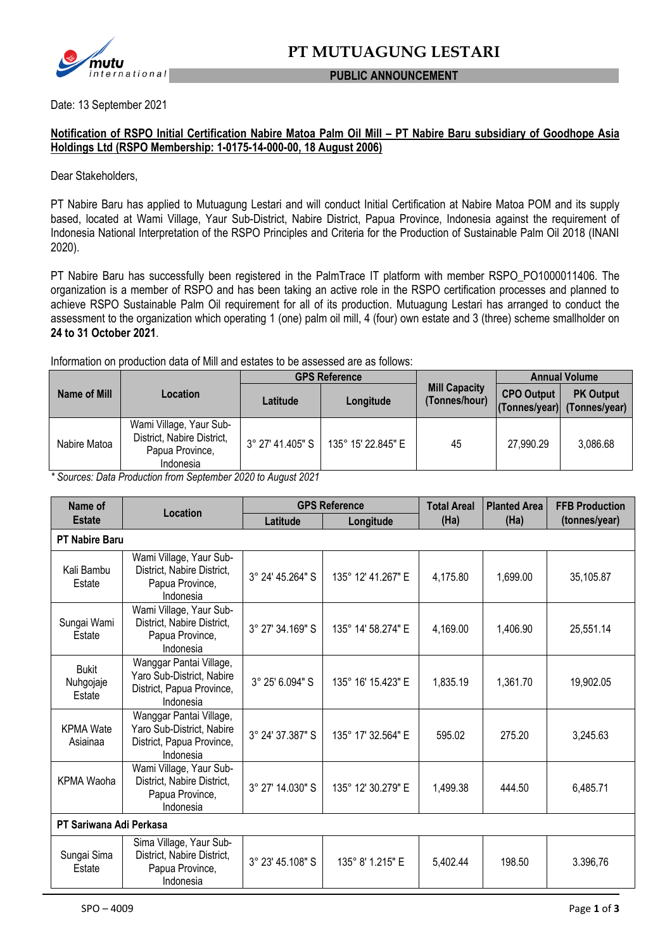

#### **PUBLIC ANNOUNCEMENT**

Date: 13 September 2021

### **Notification of RSPO Initial Certification Nabire Matoa Palm Oil Mill – PT Nabire Baru subsidiary of Goodhope Asia Holdings Ltd (RSPO Membership: 1-0175-14-000-00, 18 August 2006)**

Dear Stakeholders,

PT Nabire Baru has applied to Mutuagung Lestari and will conduct Initial Certification at Nabire Matoa POM and its supply based, located at Wami Village, Yaur Sub-District, Nabire District, Papua Province, Indonesia against the requirement of Indonesia National Interpretation of the RSPO Principles and Criteria for the Production of Sustainable Palm Oil 2018 (INANI 2020).

PT Nabire Baru has successfully been registered in the PalmTrace IT platform with member RSPO\_PO1000011406. The organization is a member of RSPO and has been taking an active role in the RSPO certification processes and planned to achieve RSPO Sustainable Palm Oil requirement for all of its production. Mutuagung Lestari has arranged to conduct the assessment to the organization which operating 1 (one) palm oil mill, 4 (four) own estate and 3 (three) scheme smallholder on **24 to 31 October 2021**.

Information on production data of Mill and estates to be assessed are as follows:

|              | Location                                                                              | <b>GPS Reference</b> |                    |                                       | <b>Annual Volume</b> |                                                 |  |
|--------------|---------------------------------------------------------------------------------------|----------------------|--------------------|---------------------------------------|----------------------|-------------------------------------------------|--|
| Name of Mill |                                                                                       | Latitude             | Longitude          | <b>Mill Capacity</b><br>(Tonnes/hour) | <b>CPO Output</b>    | <b>PK Output</b><br>(Tonnes/year) (Tonnes/year) |  |
| Nabire Matoa | Wami Village, Yaur Sub-<br>District, Nabire District,<br>Papua Province,<br>Indonesia | 3° 27' 41.405" S 1   | 135° 15' 22.845" E | 45                                    | 27,990.29            | 3,086.68                                        |  |

*\* Sources: Data Production from September 2020 to August 2021*

| Name of                             |                                                                                                | <b>GPS Reference</b> |                    | <b>Total Areal</b> | <b>Planted Area</b> | <b>FFB Production</b> |
|-------------------------------------|------------------------------------------------------------------------------------------------|----------------------|--------------------|--------------------|---------------------|-----------------------|
| <b>Estate</b>                       | Location                                                                                       | Latitude             | Longitude          | (Ha)               | (Ha)                | (tonnes/year)         |
| <b>PT Nabire Baru</b>               |                                                                                                |                      |                    |                    |                     |                       |
| Kali Bambu<br>Estate                | Wami Village, Yaur Sub-<br>District, Nabire District,<br>Papua Province,<br>Indonesia          | 3° 24' 45.264" S     | 135° 12' 41.267" E | 4,175.80           | 1,699.00            | 35,105.87             |
| Sungai Wami<br>Estate               | Wami Village, Yaur Sub-<br>District, Nabire District,<br>Papua Province,<br>Indonesia          | 3° 27' 34.169" S     | 135° 14' 58.274" E | 4,169.00           | 1,406.90            | 25,551.14             |
| <b>Bukit</b><br>Nuhgojaje<br>Estate | Wanggar Pantai Village,<br>Yaro Sub-District, Nabire<br>District, Papua Province,<br>Indonesia | 3° 25' 6.094" S      | 135° 16' 15.423" E | 1,835.19           | 1,361.70            | 19,902.05             |
| <b>KPMA Wate</b><br>Asiainaa        | Wanggar Pantai Village,<br>Yaro Sub-District, Nabire<br>District, Papua Province,<br>Indonesia | 3° 24' 37.387" S     | 135° 17' 32.564" E | 595.02             | 275.20              | 3,245.63              |
| <b>KPMA Waoha</b>                   | Wami Village, Yaur Sub-<br>District, Nabire District,<br>Papua Province,<br>Indonesia          | 3° 27' 14.030" S     | 135° 12' 30.279" E | 1,499.38           | 444.50              | 6,485.71              |
| PT Sariwana Adi Perkasa             |                                                                                                |                      |                    |                    |                     |                       |
| Sungai Sima<br>Estate               | Sima Village, Yaur Sub-<br>District, Nabire District,<br>Papua Province,<br>Indonesia          | 3° 23' 45.108" S     | 135° 8' 1.215" E   | 5,402.44           | 198.50              | 3.396,76              |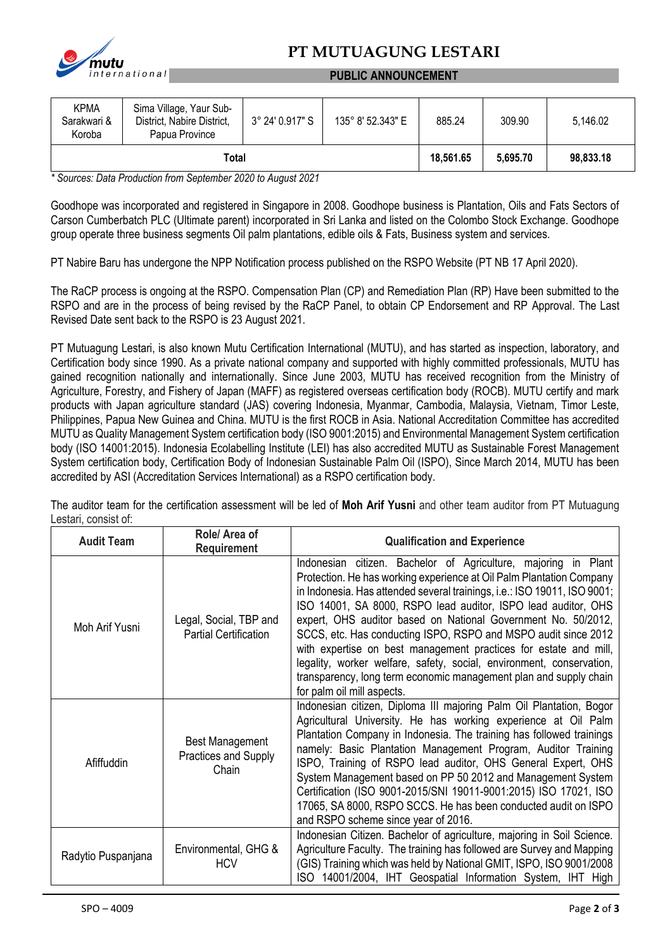

# **PT MUTUAGUNG LESTARI**

#### **PUBLIC ANNOUNCEMENT**

| <b>KPMA</b><br>Sarakwari &<br>Koroba | Sima Village, Yaur Sub-<br>District, Nabire District,<br>Papua Province | 3° 24' 0.917" S | 135° 8' 52.343" E | 885.24   | 309.90    | 5,146.02 |
|--------------------------------------|-------------------------------------------------------------------------|-----------------|-------------------|----------|-----------|----------|
| Total                                |                                                                         |                 | 18,561.65         | 5.695.70 | 98,833.18 |          |

*\* Sources: Data Production from September 2020 to August 2021*

Goodhope was incorporated and registered in Singapore in 2008. Goodhope business is Plantation, Oils and Fats Sectors of Carson Cumberbatch PLC (Ultimate parent) incorporated in Sri Lanka and listed on the Colombo Stock Exchange. Goodhope group operate three business segments Oil palm plantations, edible oils & Fats, Business system and services.

PT Nabire Baru has undergone the NPP Notification process published on the RSPO Website (PT NB 17 April 2020).

The RaCP process is ongoing at the RSPO. Compensation Plan (CP) and Remediation Plan (RP) Have been submitted to the RSPO and are in the process of being revised by the RaCP Panel, to obtain CP Endorsement and RP Approval. The Last Revised Date sent back to the RSPO is 23 August 2021.

PT Mutuagung Lestari, is also known Mutu Certification International (MUTU), and has started as inspection, laboratory, and Certification body since 1990. As a private national company and supported with highly committed professionals, MUTU has gained recognition nationally and internationally. Since June 2003, MUTU has received recognition from the Ministry of Agriculture, Forestry, and Fishery of Japan (MAFF) as registered overseas certification body (ROCB). MUTU certify and mark products with Japan agriculture standard (JAS) covering Indonesia, Myanmar, Cambodia, Malaysia, Vietnam, Timor Leste, Philippines, Papua New Guinea and China. MUTU is the first ROCB in Asia. National Accreditation Committee has accredited MUTU as Quality Management System certification body (ISO 9001:2015) and Environmental Management System certification body (ISO 14001:2015). Indonesia Ecolabelling Institute (LEI) has also accredited MUTU as Sustainable Forest Management System certification body, Certification Body of Indonesian Sustainable Palm Oil (ISPO), Since March 2014, MUTU has been accredited by ASI (Accreditation Services International) as a RSPO certification body.

The auditor team for the certification assessment will be led of **Moh Arif Yusni** and other team auditor from PT Mutuagung Lestari, consist of:

| <b>Audit Team</b>  | Role/ Area of<br><b>Requirement</b>                     | <b>Qualification and Experience</b>                                                                                                                                                                                                                                                                                                                                                                                                                                                                                                                                                                                                                                   |  |
|--------------------|---------------------------------------------------------|-----------------------------------------------------------------------------------------------------------------------------------------------------------------------------------------------------------------------------------------------------------------------------------------------------------------------------------------------------------------------------------------------------------------------------------------------------------------------------------------------------------------------------------------------------------------------------------------------------------------------------------------------------------------------|--|
| Moh Arif Yusni     | Legal, Social, TBP and<br><b>Partial Certification</b>  | Indonesian citizen. Bachelor of Agriculture, majoring in Plant<br>Protection. He has working experience at Oil Palm Plantation Company<br>in Indonesia. Has attended several trainings, i.e.: ISO 19011, ISO 9001;<br>ISO 14001, SA 8000, RSPO lead auditor, ISPO lead auditor, OHS<br>expert, OHS auditor based on National Government No. 50/2012,<br>SCCS, etc. Has conducting ISPO, RSPO and MSPO audit since 2012<br>with expertise on best management practices for estate and mill,<br>legality, worker welfare, safety, social, environment, conservation,<br>transparency, long term economic management plan and supply chain<br>for palm oil mill aspects. |  |
| Afiffuddin         | <b>Best Management</b><br>Practices and Supply<br>Chain | Indonesian citizen, Diploma III majoring Palm Oil Plantation, Bogor<br>Agricultural University. He has working experience at Oil Palm<br>Plantation Company in Indonesia. The training has followed trainings<br>namely: Basic Plantation Management Program, Auditor Training<br>ISPO, Training of RSPO lead auditor, OHS General Expert, OHS<br>System Management based on PP 50 2012 and Management System<br>Certification (ISO 9001-2015/SNI 19011-9001:2015) ISO 17021, ISO<br>17065, SA 8000, RSPO SCCS. He has been conducted audit on ISPO<br>and RSPO scheme since year of 2016.                                                                            |  |
| Radytio Puspanjana | Environmental, GHG &<br><b>HCV</b>                      | Indonesian Citizen. Bachelor of agriculture, majoring in Soil Science.<br>Agriculture Faculty. The training has followed are Survey and Mapping<br>(GIS) Training which was held by National GMIT, ISPO, ISO 9001/2008<br>ISO 14001/2004, IHT Geospatial Information System, IHT High                                                                                                                                                                                                                                                                                                                                                                                 |  |